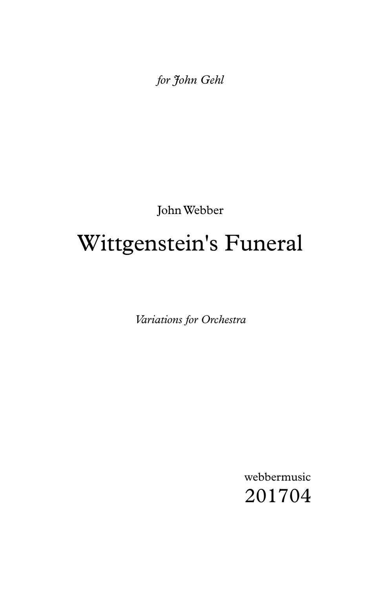*for John Gehl*

JohnWebber

# Wittgenstein's Funeral

*Variations for Orchestra*

webbermusic 201704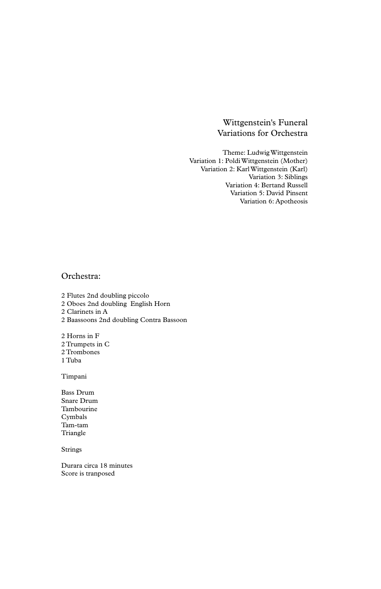## Wittgenstein's Funeral Variations for Orchestra

Theme: LudwigWittgenstein Variation 1: Poldi Wittgenstein (Mother) Variation 2: KarlWittgenstein (Karl) Variation 3: Siblings Variation 4: Bertand Russell Variation 5: David Pinsent Variation 6: Apotheosis

#### Orchestra:

2 Flutes 2nd doubling piccolo

2 Oboes 2nd doubling English Horn

2 Clarinets in A

2 Baassoons 2nd doubling Contra Bassoon

2 Horns in F 2 Trumpets in C

2 Trombones

1 Tuba

Timpani

Bass Drum Snare Drum Tambourine Cymbals Tam-tam Triangle

Strings

Durara circa 18 minutes Score is tranposed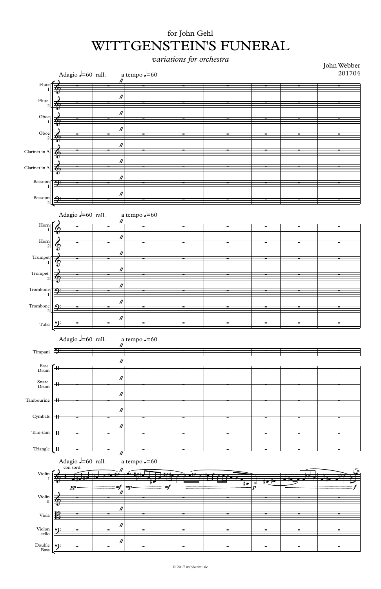# for John Gehl WITTGENSTEIN'S FUNERAL

## *variations for orchestra*



 $\odot$  2017 webbermusic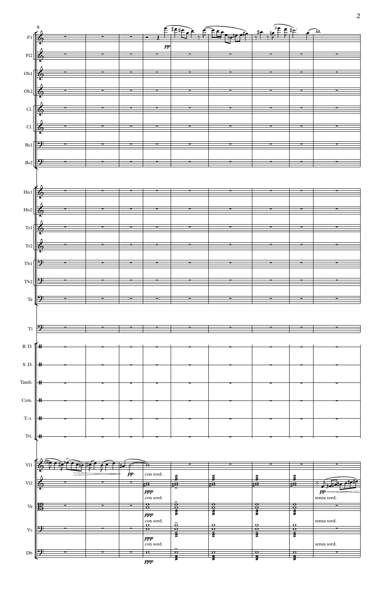

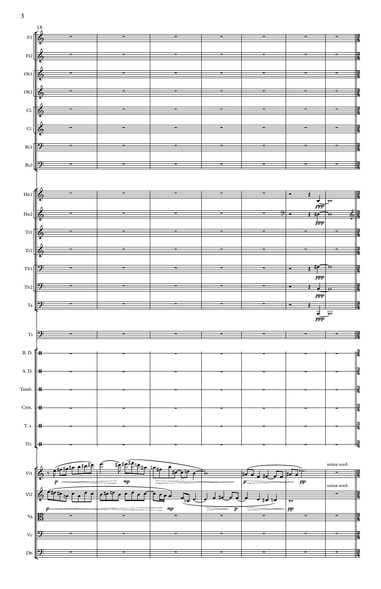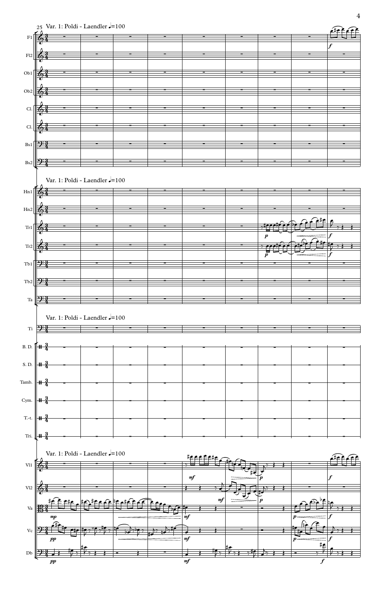

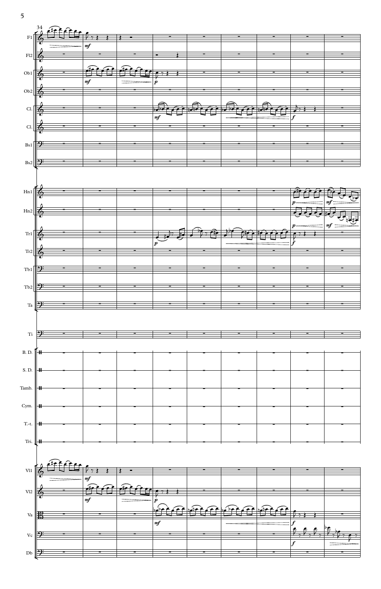

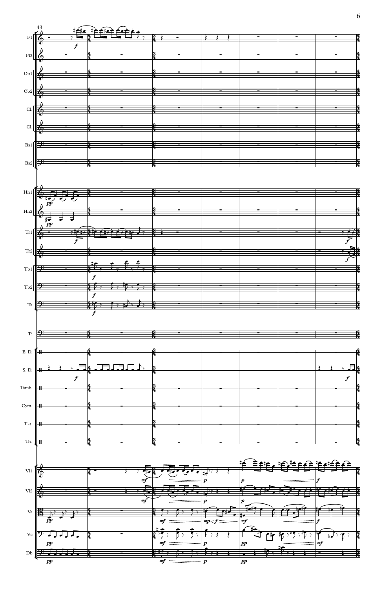

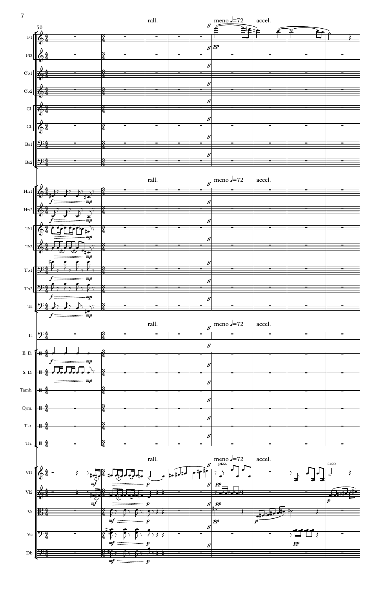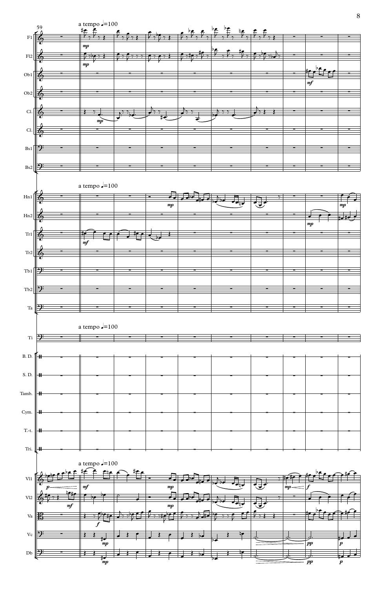

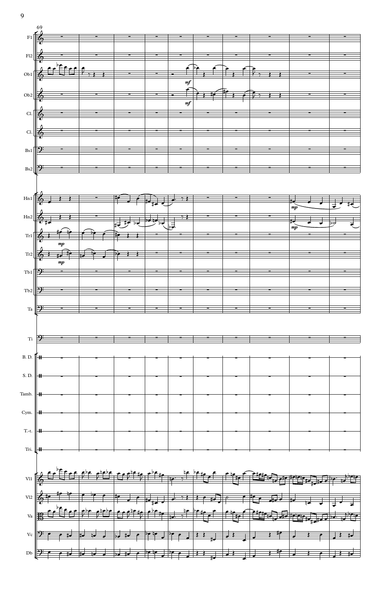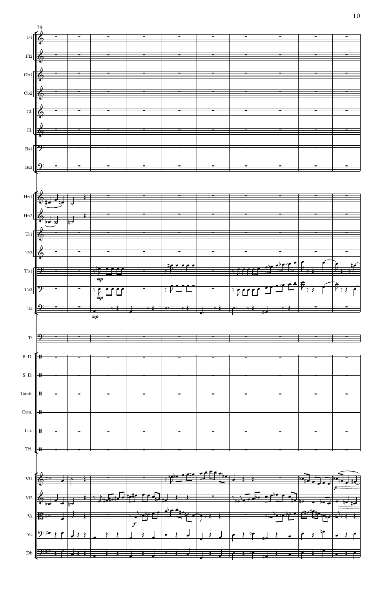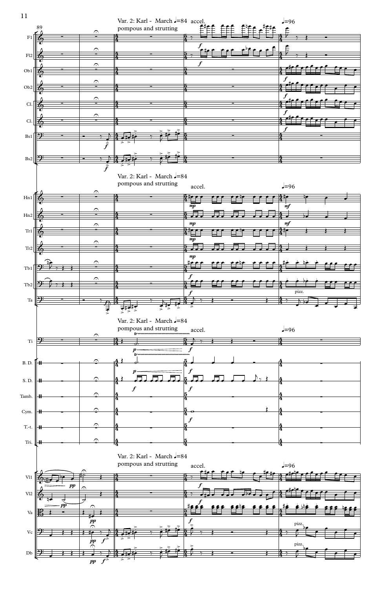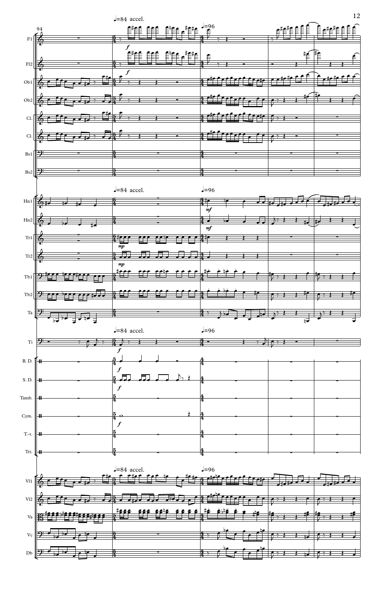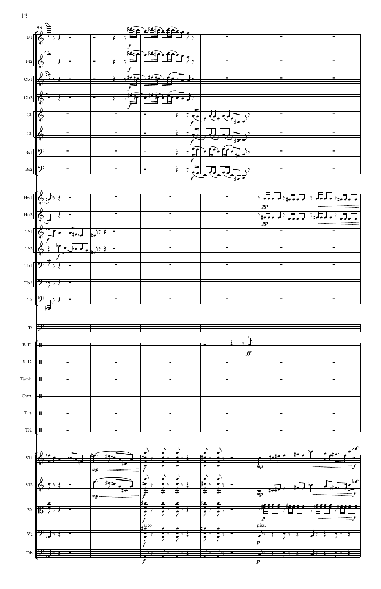

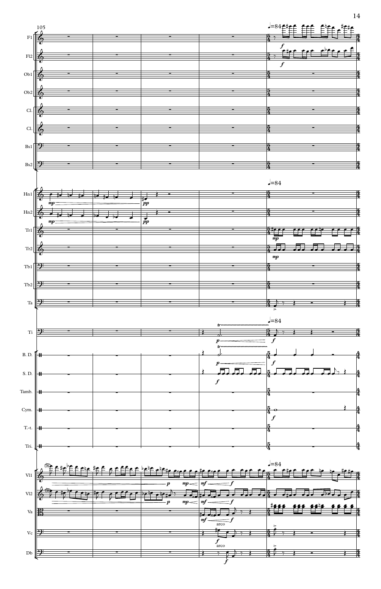

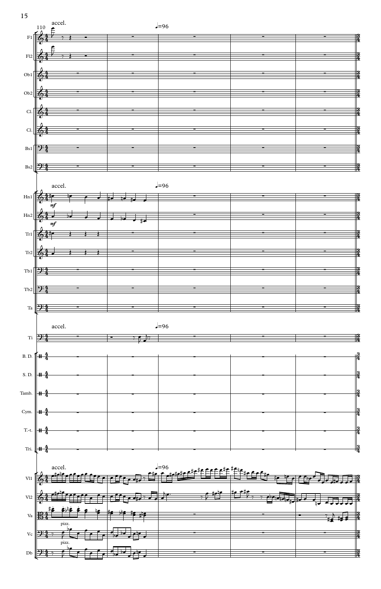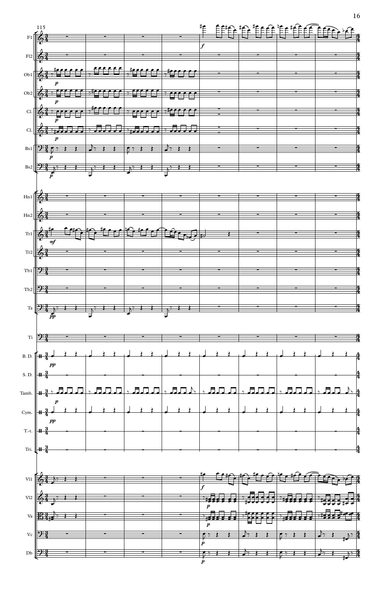

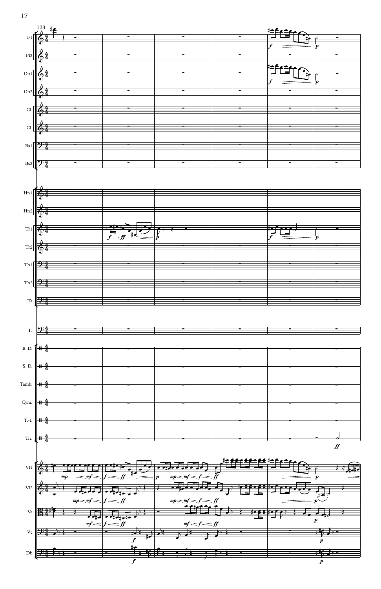![](_page_19_Figure_0.jpeg)

![](_page_19_Figure_2.jpeg)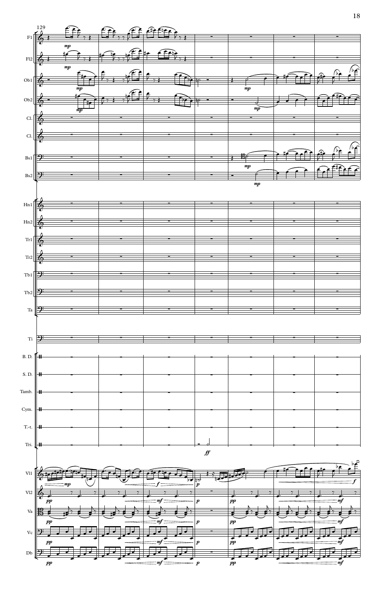![](_page_20_Figure_0.jpeg)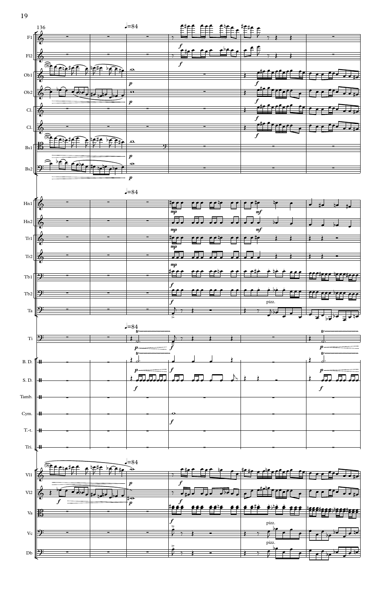![](_page_21_Figure_0.jpeg)

![](_page_21_Figure_2.jpeg)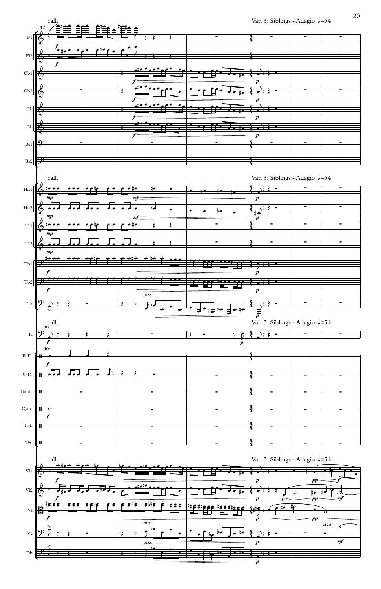![](_page_22_Figure_1.jpeg)

![](_page_22_Figure_0.jpeg)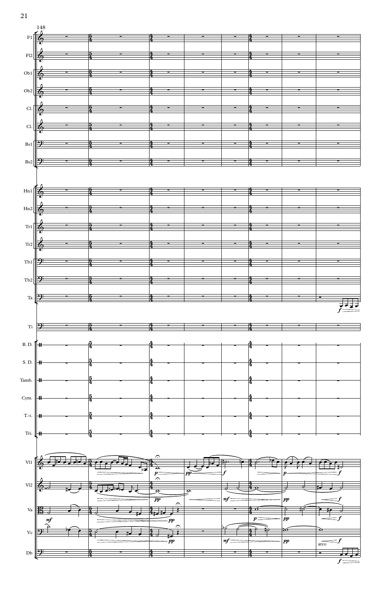![](_page_23_Figure_0.jpeg)

 $f=$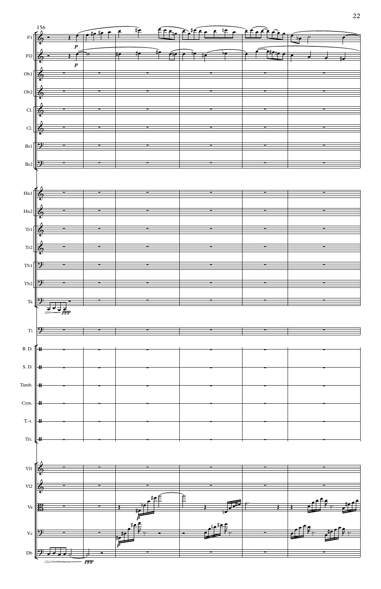![](_page_24_Figure_0.jpeg)

![](_page_24_Figure_2.jpeg)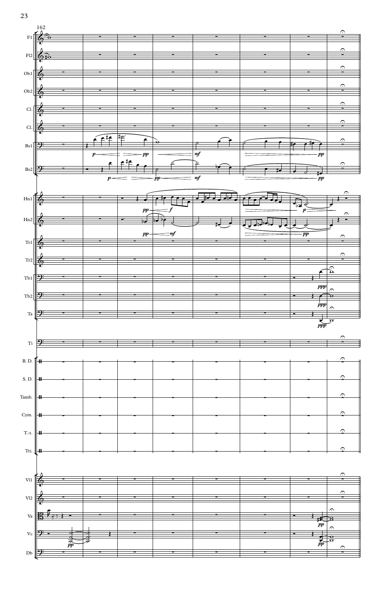![](_page_25_Figure_0.jpeg)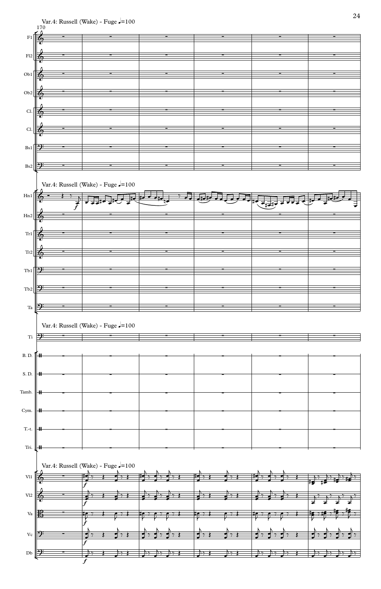![](_page_26_Figure_0.jpeg)

![](_page_26_Figure_1.jpeg)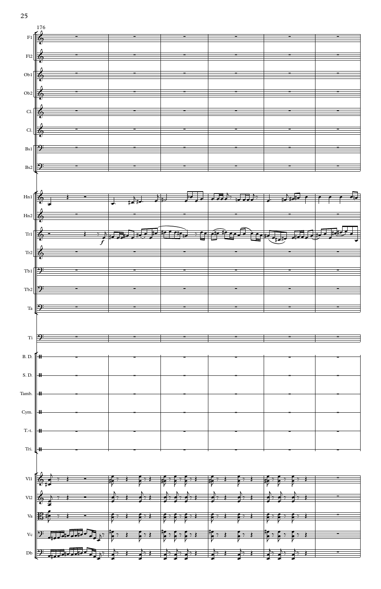![](_page_27_Figure_0.jpeg)

![](_page_27_Figure_2.jpeg)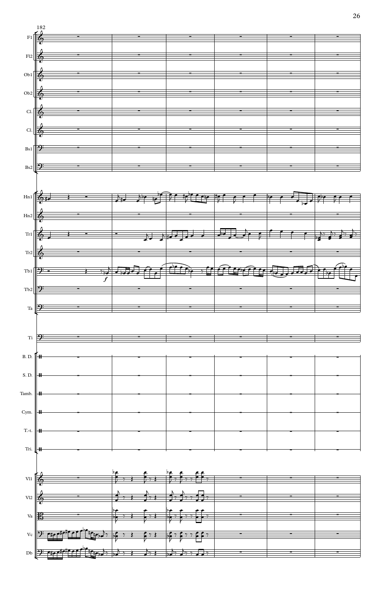![](_page_28_Figure_0.jpeg)

![](_page_28_Figure_1.jpeg)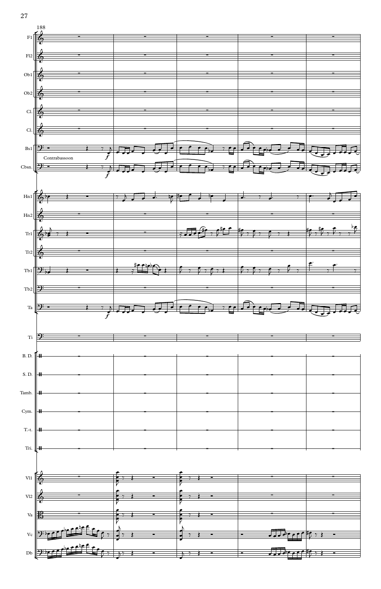![](_page_29_Figure_0.jpeg)

![](_page_29_Figure_2.jpeg)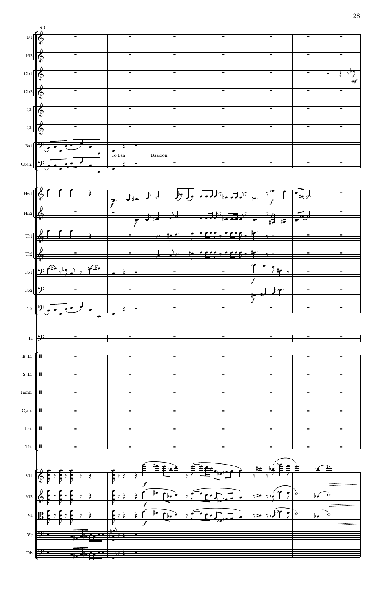![](_page_30_Figure_0.jpeg)

![](_page_30_Figure_2.jpeg)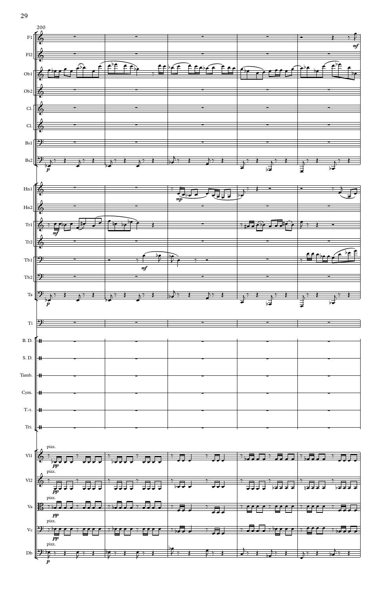![](_page_31_Figure_0.jpeg)

![](_page_31_Figure_2.jpeg)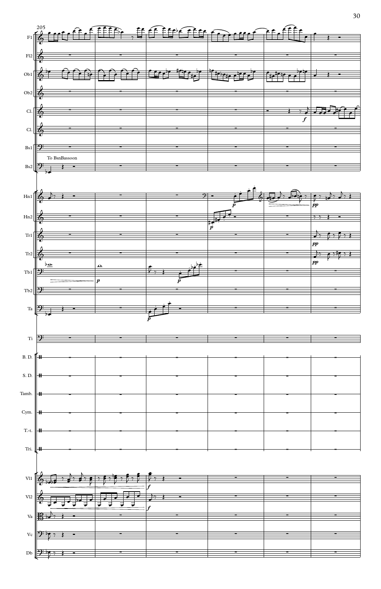![](_page_32_Figure_0.jpeg)

![](_page_32_Figure_2.jpeg)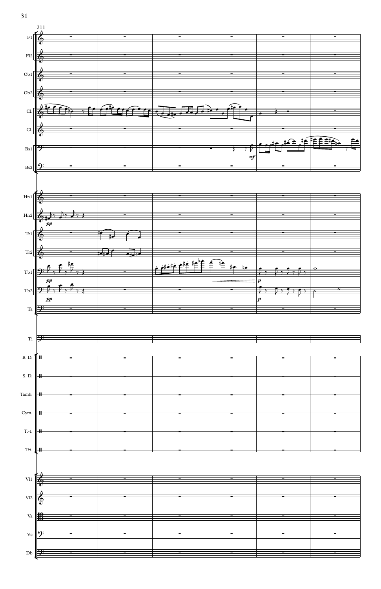![](_page_33_Figure_0.jpeg)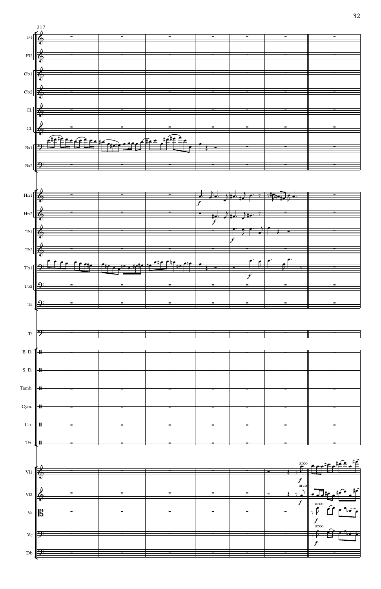![](_page_34_Figure_0.jpeg)

![](_page_34_Figure_1.jpeg)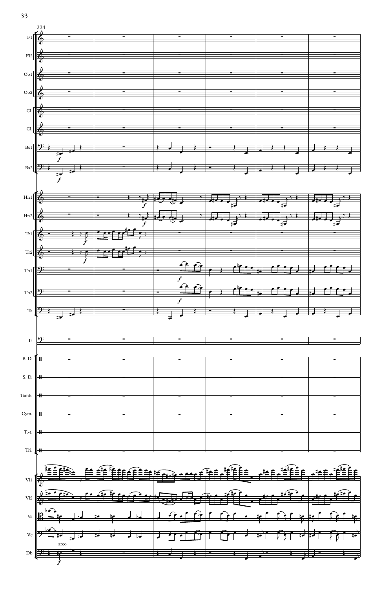![](_page_35_Figure_0.jpeg)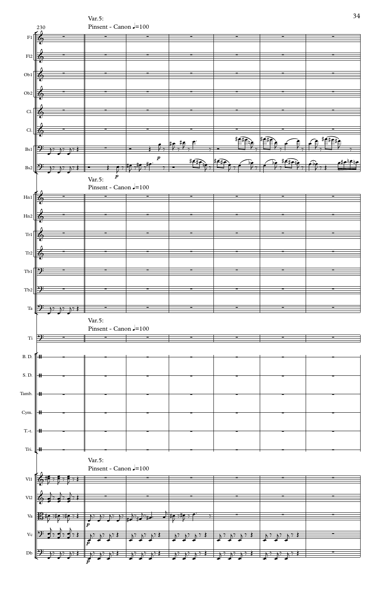![](_page_36_Figure_0.jpeg)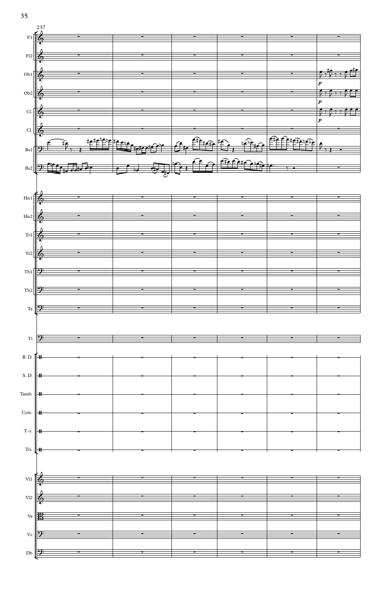![](_page_37_Figure_2.jpeg)

![](_page_37_Figure_0.jpeg)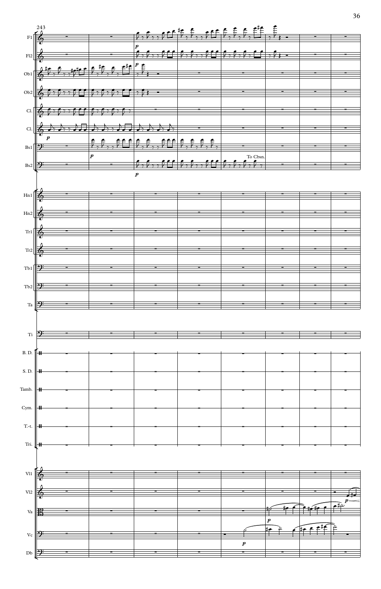![](_page_38_Figure_0.jpeg)

![](_page_38_Figure_1.jpeg)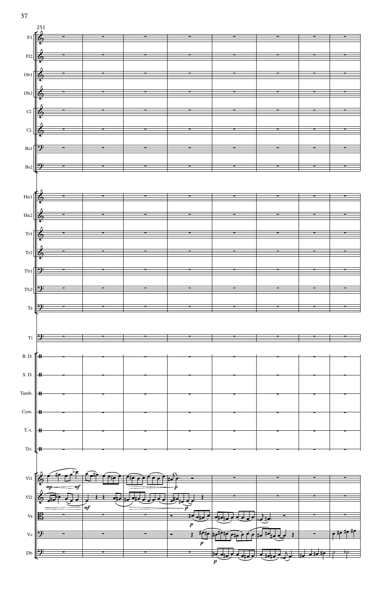![](_page_39_Figure_0.jpeg)

![](_page_39_Figure_2.jpeg)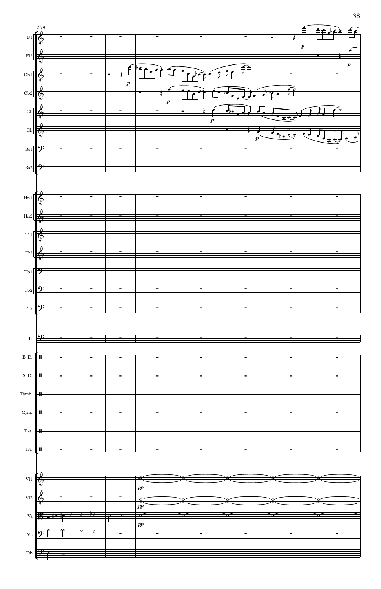![](_page_40_Figure_0.jpeg)

![](_page_40_Figure_2.jpeg)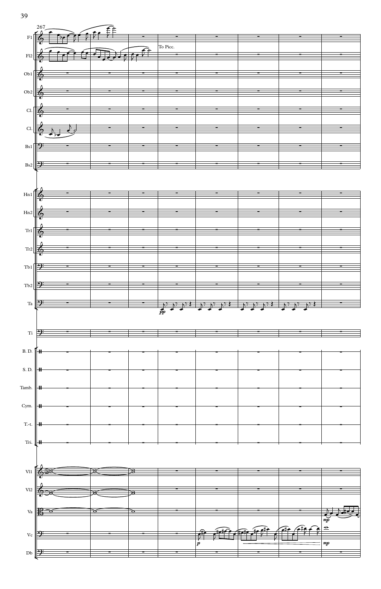![](_page_41_Figure_0.jpeg)

![](_page_41_Figure_2.jpeg)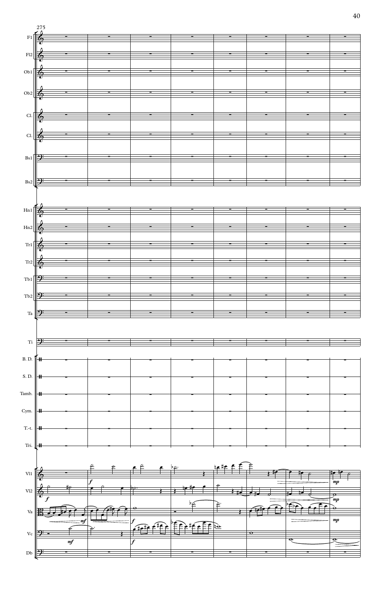![](_page_42_Figure_0.jpeg)

![](_page_42_Figure_2.jpeg)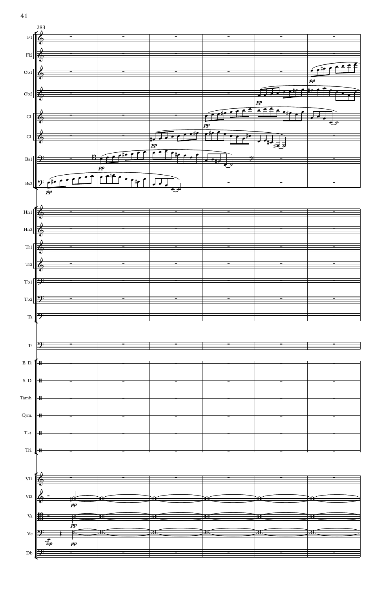![](_page_43_Figure_0.jpeg)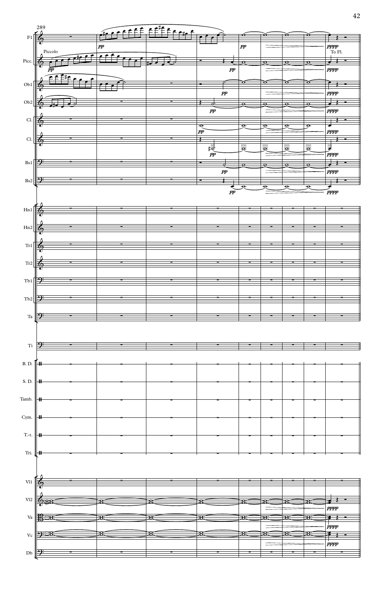![](_page_44_Figure_0.jpeg)

![](_page_44_Figure_2.jpeg)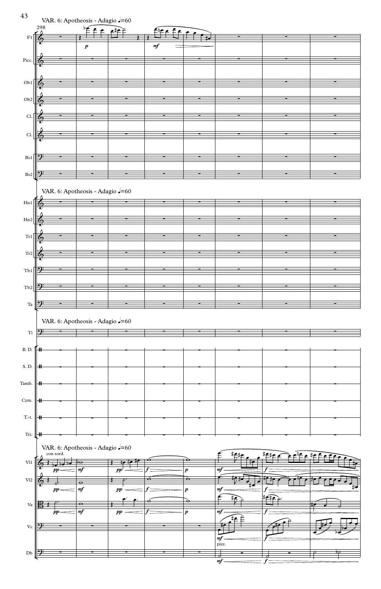![](_page_45_Figure_0.jpeg)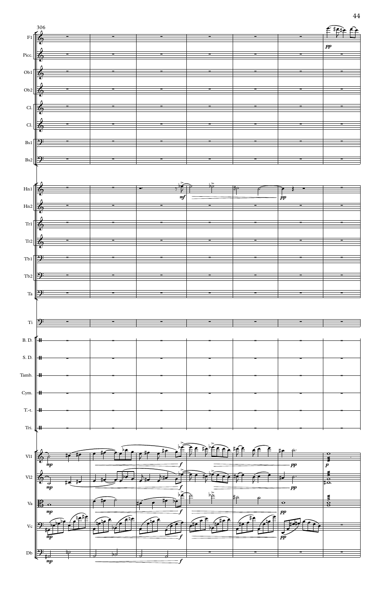![](_page_46_Figure_0.jpeg)

![](_page_46_Figure_1.jpeg)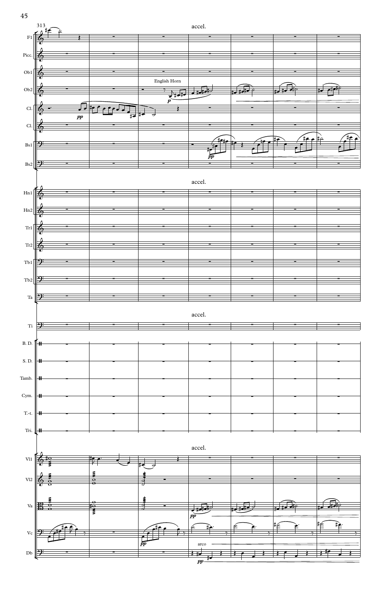![](_page_47_Figure_0.jpeg)

![](_page_47_Figure_1.jpeg)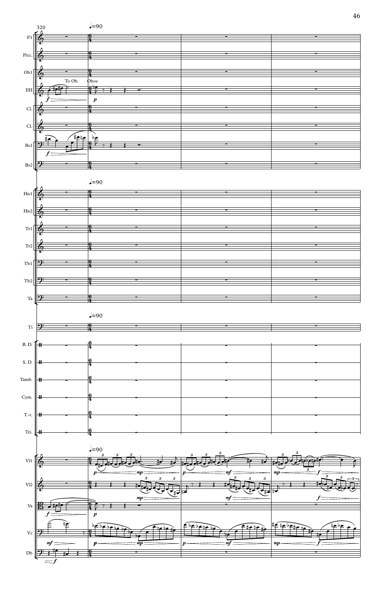![](_page_48_Figure_0.jpeg)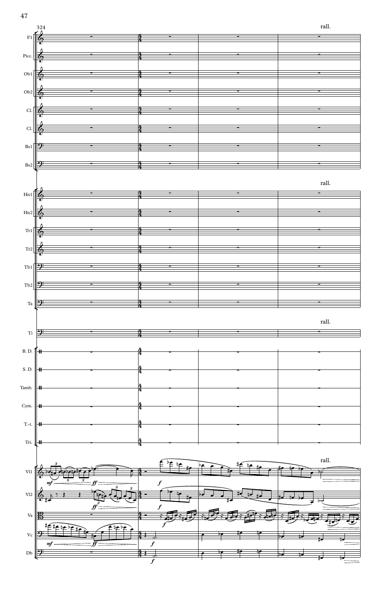![](_page_49_Figure_0.jpeg)

![](_page_49_Figure_2.jpeg)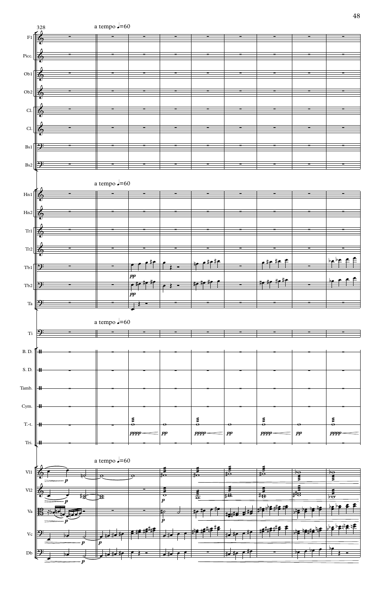![](_page_50_Figure_0.jpeg)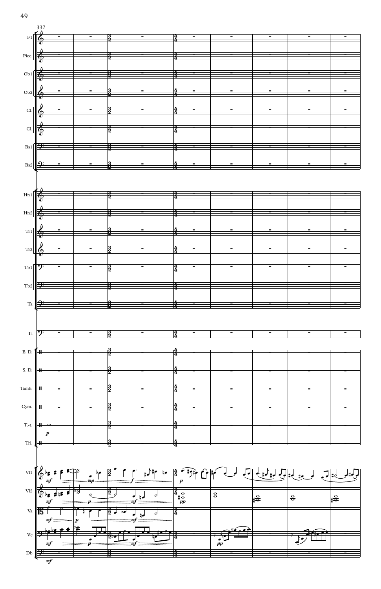![](_page_51_Figure_0.jpeg)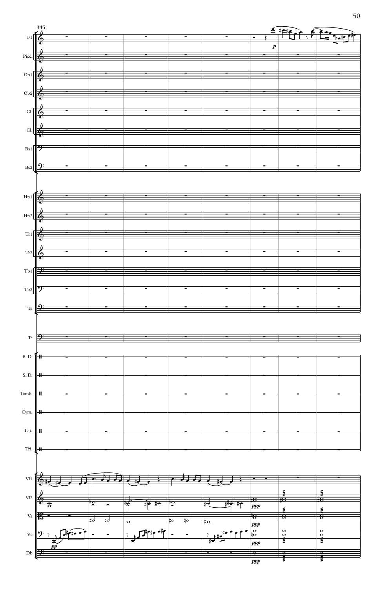![](_page_52_Figure_0.jpeg)

![](_page_52_Figure_2.jpeg)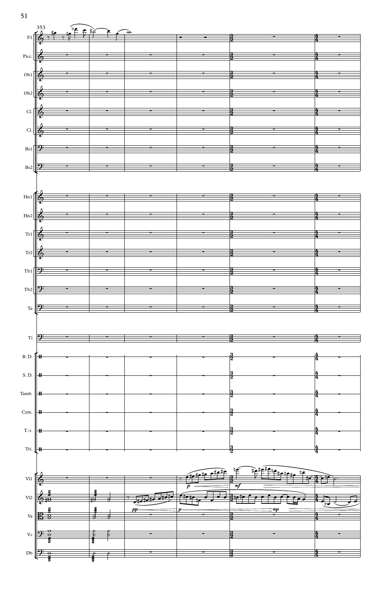![](_page_53_Figure_0.jpeg)